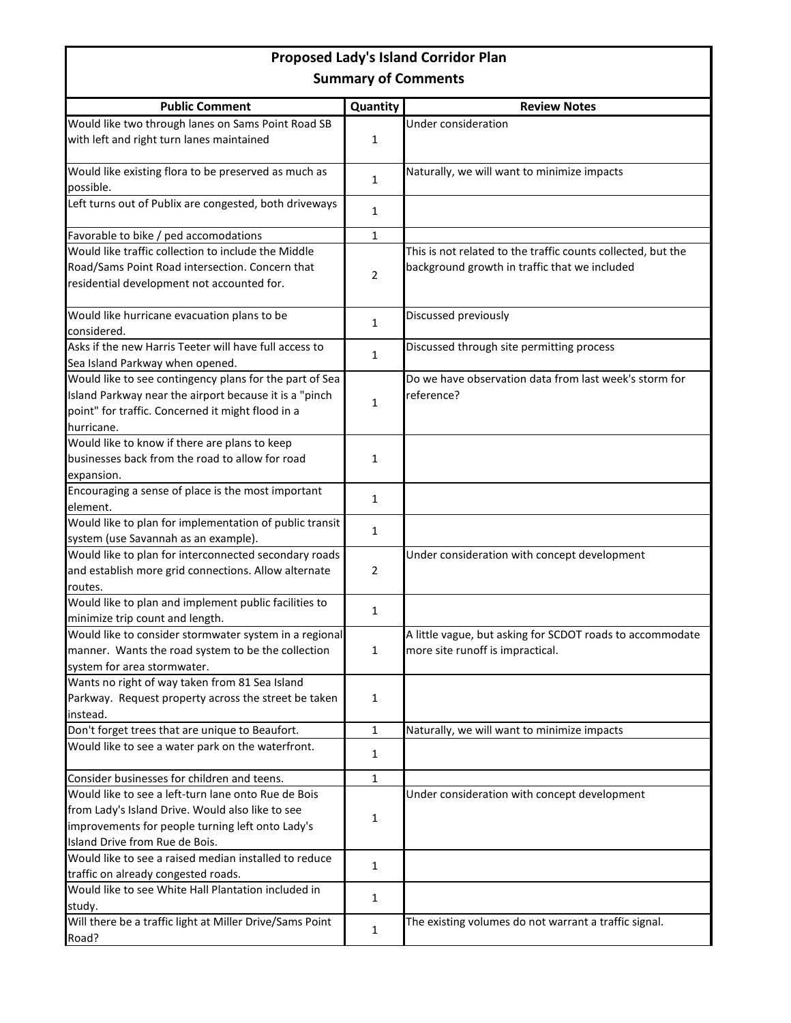## **Proposed Lady's Island Corridor Plan Summary of Comments**

| <b>Public Comment</b>                                      | Quantity       | <b>Review Notes</b>                                          |
|------------------------------------------------------------|----------------|--------------------------------------------------------------|
| Would like two through lanes on Sams Point Road SB         |                | Under consideration                                          |
| with left and right turn lanes maintained                  | $\mathbf{1}$   |                                                              |
|                                                            |                |                                                              |
| Would like existing flora to be preserved as much as       | $\mathbf{1}$   | Naturally, we will want to minimize impacts                  |
| possible.                                                  |                |                                                              |
| Left turns out of Publix are congested, both driveways     | 1              |                                                              |
|                                                            |                |                                                              |
| Favorable to bike / ped accomodations                      | $\mathbf{1}$   |                                                              |
| Would like traffic collection to include the Middle        |                | This is not related to the traffic counts collected, but the |
| Road/Sams Point Road intersection. Concern that            | $\overline{2}$ | background growth in traffic that we included                |
| residential development not accounted for.                 |                |                                                              |
|                                                            |                | Discussed previously                                         |
| Would like hurricane evacuation plans to be<br>considered. | 1              |                                                              |
| Asks if the new Harris Teeter will have full access to     |                | Discussed through site permitting process                    |
| Sea Island Parkway when opened.                            | $\mathbf{1}$   |                                                              |
| Would like to see contingency plans for the part of Sea    |                | Do we have observation data from last week's storm for       |
| Island Parkway near the airport because it is a "pinch     |                | reference?                                                   |
| point" for traffic. Concerned it might flood in a          | $\mathbf{1}$   |                                                              |
| hurricane.                                                 |                |                                                              |
| Would like to know if there are plans to keep              |                |                                                              |
| businesses back from the road to allow for road            | $\mathbf{1}$   |                                                              |
| expansion.                                                 |                |                                                              |
| Encouraging a sense of place is the most important         |                |                                                              |
| element.                                                   | $\mathbf{1}$   |                                                              |
| Would like to plan for implementation of public transit    |                |                                                              |
| system (use Savannah as an example).                       | 1              |                                                              |
| Would like to plan for interconnected secondary roads      |                | Under consideration with concept development                 |
| and establish more grid connections. Allow alternate       | $\overline{2}$ |                                                              |
| routes.                                                    |                |                                                              |
| Would like to plan and implement public facilities to      |                |                                                              |
| minimize trip count and length.                            | 1              |                                                              |
| Would like to consider stormwater system in a regional     |                | A little vague, but asking for SCDOT roads to accommodate    |
| manner. Wants the road system to be the collection         | 1              | more site runoff is impractical.                             |
| system for area stormwater.                                |                |                                                              |
| Wants no right of way taken from 81 Sea Island             |                |                                                              |
| Parkway. Request property across the street be taken       | $\mathbf{1}$   |                                                              |
| instead.                                                   |                |                                                              |
| Don't forget trees that are unique to Beaufort.            | $\mathbf{1}$   | Naturally, we will want to minimize impacts                  |
| Would like to see a water park on the waterfront.          | 1              |                                                              |
|                                                            |                |                                                              |
| Consider businesses for children and teens.                | $\mathbf{1}$   |                                                              |
| Would like to see a left-turn lane onto Rue de Bois        |                | Under consideration with concept development                 |
| from Lady's Island Drive. Would also like to see           | $\mathbf{1}$   |                                                              |
| improvements for people turning left onto Lady's           |                |                                                              |
| Island Drive from Rue de Bois.                             |                |                                                              |
| Would like to see a raised median installed to reduce      | $\mathbf{1}$   |                                                              |
| traffic on already congested roads.                        |                |                                                              |
| Would like to see White Hall Plantation included in        | 1              |                                                              |
| study.                                                     |                |                                                              |
| Will there be a traffic light at Miller Drive/Sams Point   | 1              | The existing volumes do not warrant a traffic signal.        |
| Road?                                                      |                |                                                              |